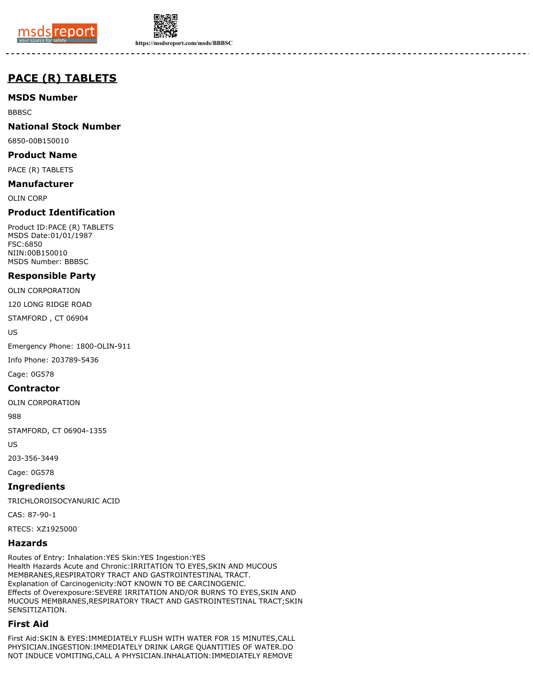



**https://msdsreport.com/msds/BBBSC**

# **PACE (R) TABLETS**

**MSDS Number**

BBBSC

## **National Stock Number**

6850-00B150010

**Product Name**

PACE (R) TABLETS

**Manufacturer**

OLIN CORP

## **Product Identification**

Product ID:PACE (R) TABLETS MSDS Date:01/01/1987 FSC:6850 NIIN:00B150010 MSDS Number: BBBSC

## **Responsible Party**

OLIN CORPORATION

120 LONG RIDGE ROAD

STAMFORD , CT 06904

US

Emergency Phone: 1800-OLIN-911

Info Phone: 203789-5436

Cage: 0G578

#### **Contractor**

OLIN CORPORATION

988

STAMFORD, CT 06904-1355

US

203-356-3449

Cage: 0G578

**Ingredients**

TRICHLOROISOCYANURIC ACID

CAS: 87-90-1

RTECS: XZ1925000

#### **Hazards**

Routes of Entry: Inhalation:YES Skin:YES Ingestion:YES Health Hazards Acute and Chronic:IRRITATION TO EYES,SKIN AND MUCOUS MEMBRANES,RESPIRATORY TRACT AND GASTROINTESTINAL TRACT. Explanation of Carcinogenicity:NOT KNOWN TO BE CARCINOGENIC. Effects of Overexposure:SEVERE IRRITATION AND/OR BURNS TO EYES,SKIN AND MUCOUS MEMBRANES,RESPIRATORY TRACT AND GASTROINTESTINAL TRACT;SKIN SENSITIZATION.

## **First Aid**

First Aid:SKIN & EYES:IMMEDIATELY FLUSH WITH WATER FOR 15 MINUTES,CALL PHYSICIAN.INGESTION:IMMEDIATELY DRINK LARGE QUANTITIES OF WATER.DO NOT INDUCE VOMITING,CALL A PHYSICIAN.INHALATION:IMMEDIATELY REMOVE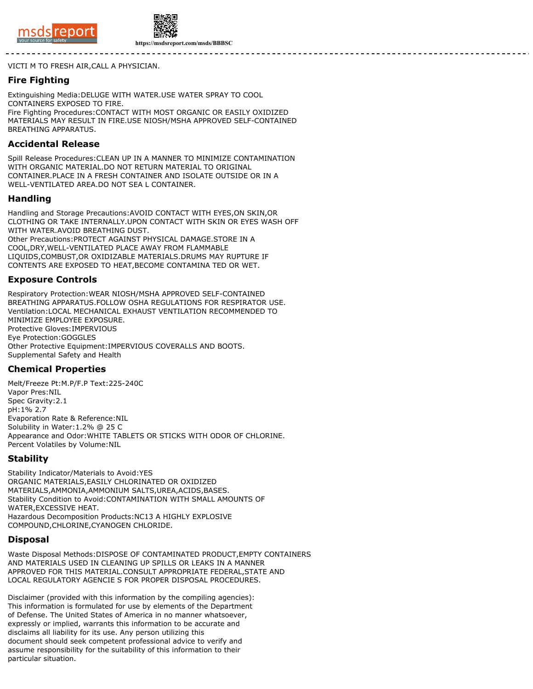



**https://msdsreport.com/msds/BBBSC**

VICTI M TO FRESH AIR,CALL A PHYSICIAN.

#### **Fire Fighting**

Extinguishing Media:DELUGE WITH WATER.USE WATER SPRAY TO COOL CONTAINERS EXPOSED TO FIRE. Fire Fighting Procedures:CONTACT WITH MOST ORGANIC OR EASILY OXIDIZED MATERIALS MAY RESULT IN FIRE.USE NIOSH/MSHA APPROVED SELF-CONTAINED BREATHING APPARATUS.

#### **Accidental Release**

Spill Release Procedures:CLEAN UP IN A MANNER TO MINIMIZE CONTAMINATION WITH ORGANIC MATERIAL.DO NOT RETURN MATERIAL TO ORIGINAL CONTAINER.PLACE IN A FRESH CONTAINER AND ISOLATE OUTSIDE OR IN A WELL-VENTILATED AREA.DO NOT SEA L CONTAINER.

#### **Handling**

Handling and Storage Precautions:AVOID CONTACT WITH EYES,ON SKIN,OR CLOTHING OR TAKE INTERNALLY.UPON CONTACT WITH SKIN OR EYES WASH OFF WITH WATER.AVOID BREATHING DUST. Other Precautions:PROTECT AGAINST PHYSICAL DAMAGE.STORE IN A COOL,DRY,WELL-VENTILATED PLACE AWAY FROM FLAMMABLE LIQUIDS,COMBUST,OR OXIDIZABLE MATERIALS.DRUMS MAY RUPTURE IF CONTENTS ARE EXPOSED TO HEAT,BECOME CONTAMINA TED OR WET.

## **Exposure Controls**

Respiratory Protection:WEAR NIOSH/MSHA APPROVED SELF-CONTAINED BREATHING APPARATUS.FOLLOW OSHA REGULATIONS FOR RESPIRATOR USE. Ventilation:LOCAL MECHANICAL EXHAUST VENTILATION RECOMMENDED TO MINIMIZE EMPLOYEE EXPOSURE. Protective Gloves:IMPERVIOUS Eye Protection:GOGGLES Other Protective Equipment:IMPERVIOUS COVERALLS AND BOOTS. Supplemental Safety and Health

## **Chemical Properties**

Melt/Freeze Pt:M.P/F.P Text:225-240C Vapor Pres:NIL Spec Gravity:2.1 pH:1% 2.7 Evaporation Rate & Reference:NIL Solubility in Water:1.2% @ 25 C Appearance and Odor:WHITE TABLETS OR STICKS WITH ODOR OF CHLORINE. Percent Volatiles by Volume:NIL

#### **Stability**

Stability Indicator/Materials to Avoid:YES ORGANIC MATERIALS,EASILY CHLORINATED OR OXIDIZED MATERIALS,AMMONIA,AMMONIUM SALTS,UREA,ACIDS,BASES. Stability Condition to Avoid:CONTAMINATION WITH SMALL AMOUNTS OF WATER,EXCESSIVE HEAT. Hazardous Decomposition Products:NC13 A HIGHLY EXPLOSIVE COMPOUND,CHLORINE,CYANOGEN CHLORIDE.

#### **Disposal**

Waste Disposal Methods:DISPOSE OF CONTAMINATED PRODUCT,EMPTY CONTAINERS AND MATERIALS USED IN CLEANING UP SPILLS OR LEAKS IN A MANNER APPROVED FOR THIS MATERIAL.CONSULT APPROPRIATE FEDERAL,STATE AND LOCAL REGULATORY AGENCIE S FOR PROPER DISPOSAL PROCEDURES.

Disclaimer (provided with this information by the compiling agencies): This information is formulated for use by elements of the Department of Defense. The United States of America in no manner whatsoever, expressly or implied, warrants this information to be accurate and disclaims all liability for its use. Any person utilizing this document should seek competent professional advice to verify and assume responsibility for the suitability of this information to their particular situation.